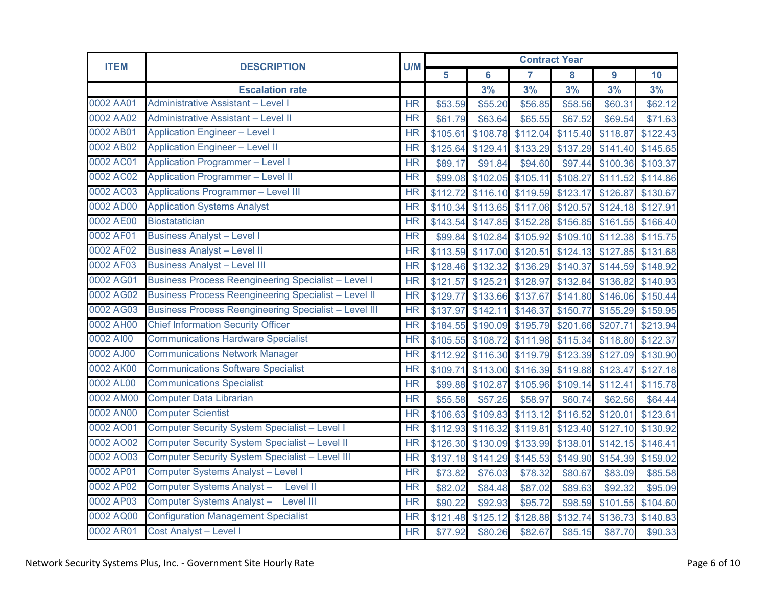| <b>ITEM</b> | <b>DESCRIPTION</b>                                           | U/M                    | <b>Contract Year</b> |                   |          |          |          |          |  |
|-------------|--------------------------------------------------------------|------------------------|----------------------|-------------------|----------|----------|----------|----------|--|
|             |                                                              |                        | 5                    | $6\phantom{1}6$   | 7        | 8        | 9        | 10       |  |
|             | <b>Escalation rate</b>                                       |                        |                      | 3%                | 3%       | 3%       | 3%       | 3%       |  |
| 0002 AA01   | <b>Administrative Assistant - Level I</b>                    | <b>HR</b>              | \$53.59              | \$55.20           | \$56.85  | \$58.56  | \$60.31  | \$62.12  |  |
| 0002 AA02   | <b>Administrative Assistant - Level II</b>                   | <b>HR</b>              | \$61.79              | \$63.64           | \$65.55  | \$67.52  | \$69.54  | \$71.63  |  |
| 0002 AB01   | <b>Application Engineer - Level I</b>                        | <b>HR</b>              | \$105.61             | \$108.78          | \$112.04 | \$115.40 | \$118.87 | \$122.43 |  |
| 0002 AB02   | <b>Application Engineer - Level II</b>                       | <b>HR</b>              | \$125.64             | \$129.41          | \$133.29 | \$137.29 | \$141.40 | \$145.65 |  |
| 0002 AC01   | <b>Application Programmer - Level I</b>                      | <b>HR</b>              | \$89.17              | \$91.84           | \$94.60  | \$97.44  | \$100.36 | \$103.37 |  |
| 0002 AC02   | <b>Application Programmer - Level II</b>                     | <b>HR</b>              | \$99.08              | \$102.05          | \$105.11 | \$108.27 | \$111.52 | \$114.86 |  |
| 0002 AC03   | <b>Applications Programmer - Level III</b>                   | <b>HR</b>              | \$112.72             | \$116.10          | \$119.59 | \$123.17 | \$126.87 | \$130.67 |  |
| 0002 AD00   | <b>Application Systems Analyst</b>                           | <b>HR</b>              | \$110.34             | \$113.65          | \$117.06 | \$120.57 | \$124.18 | \$127.91 |  |
| 0002 AE00   | <b>Biostatatician</b>                                        | <b>HR</b>              | \$143.54             | \$147.85          | \$152.28 | \$156.85 | \$161.55 | \$166.40 |  |
| 0002 AF01   | <b>Business Analyst - Level I</b>                            | <b>HR</b>              | \$99.84              | \$102.84          | \$105.92 | \$109.10 | \$112.38 | \$115.75 |  |
| 0002 AF02   | <b>Business Analyst - Level II</b>                           | <b>HR</b>              |                      | \$113.59 \$117.00 | \$120.51 | \$124.13 | \$127.85 | \$131.68 |  |
| 0002 AF03   | <b>Business Analyst - Level III</b>                          | $\overline{\text{HR}}$ |                      | \$128.46 \$132.32 | \$136.29 | \$140.37 | \$144.59 | \$148.92 |  |
| 0002 AG01   | <b>Business Process Reengineering Specialist - Level I</b>   | <b>HR</b>              | \$121.57             | \$125.21          | \$128.97 | \$132.84 | \$136.82 | \$140.93 |  |
| 0002 AG02   | <b>Business Process Reengineering Specialist - Level II</b>  | <b>HR</b>              | \$129.77             | \$133.66          | \$137.67 | \$141.80 | \$146.06 | \$150.44 |  |
| 0002 AG03   | <b>Business Process Reengineering Specialist - Level III</b> | <b>HR</b>              | \$137.97             | \$142.11          | \$146.37 | \$150.77 | \$155.29 | \$159.95 |  |
| 0002 AH00   | <b>Chief Information Security Officer</b>                    | <b>HR</b>              | \$184.55             | \$190.09          | \$195.79 | \$201.66 | \$207.71 | \$213.94 |  |
| 0002 AI00   | <b>Communications Hardware Specialist</b>                    | <b>HR</b>              |                      | \$105.55 \$108.72 | \$111.98 | \$115.34 | \$118.80 | \$122.37 |  |
| 0002 AJ00   | <b>Communications Network Manager</b>                        | <b>HR</b>              | \$112.92             | \$116.30          | \$119.79 | \$123.39 | \$127.09 | \$130.90 |  |
| 0002 AK00   | <b>Communications Software Specialist</b>                    | <b>HR</b>              | \$109.71             | \$113.00          | \$116.39 | \$119.88 | \$123.47 | \$127.18 |  |
| 0002 AL00   | <b>Communications Specialist</b>                             | <b>HR</b>              | \$99.88              | \$102.87          | \$105.96 | \$109.14 | \$112.41 | \$115.78 |  |
| 0002 AM00   | <b>Computer Data Librarian</b>                               | <b>HR</b>              | \$55.58              | \$57.25           | \$58.97  | \$60.74  | \$62.56  | \$64.44  |  |
| 0002 AN00   | <b>Computer Scientist</b>                                    | <b>HR</b>              | \$106.63             | \$109.83          | \$113.12 | \$116.52 | \$120.01 | \$123.61 |  |
| 0002 AO01   | <b>Computer Security System Specialist - Level I</b>         | <b>HR</b>              | \$112.93             | \$116.32          | \$119.81 | \$123.40 | \$127.10 | \$130.92 |  |
| 0002 AO02   | <b>Computer Security System Specialist - Level II</b>        | <b>HR</b>              | \$126.30             | \$130.09          | \$133.99 | \$138.01 | \$142.15 | \$146.41 |  |
| 0002 AO03   | <b>Computer Security System Specialist - Level III</b>       | <b>HR</b>              | \$137.18             | \$141.29          | \$145.53 | \$149.90 | \$154.39 | \$159.02 |  |
| 0002 AP01   | <b>Computer Systems Analyst - Level I</b>                    | <b>HR</b>              | \$73.82              | \$76.03           | \$78.32  | \$80.67  | \$83.09  | \$85.58  |  |
| 0002 AP02   | Computer Systems Analyst-<br>Level II                        | <b>HR</b>              | \$82.02              | \$84.48           | \$87.02  | \$89.63  | \$92.32  | \$95.09  |  |
| 0002 AP03   | Computer Systems Analyst - Level III                         | <b>HR</b>              | \$90.22              | \$92.93           | \$95.72  | \$98.59  | \$101.55 | \$104.60 |  |
| 0002 AQ00   | <b>Configuration Management Specialist</b>                   | <b>HR</b>              | \$121.48             | \$125.12          | \$128.88 | \$132.74 | \$136.73 | \$140.83 |  |
| 0002 AR01   | <b>Cost Analyst - Level I</b>                                | <b>HR</b>              | \$77.92              | \$80.26           | \$82.67  | \$85.15  | \$87.70  | \$90.33  |  |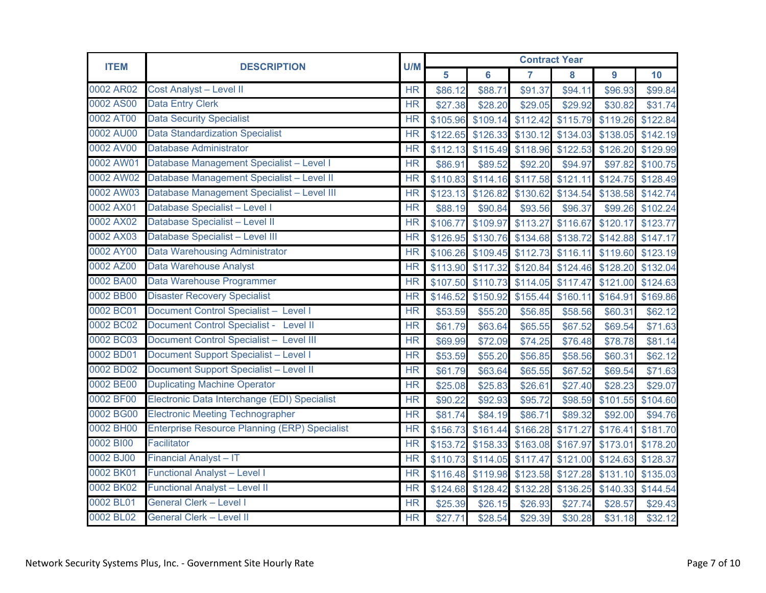| <b>ITEM</b> | <b>DESCRIPTION</b>                                   | U/M       | <b>Contract Year</b> |                   |                |                   |          |                   |  |
|-------------|------------------------------------------------------|-----------|----------------------|-------------------|----------------|-------------------|----------|-------------------|--|
|             |                                                      |           | 5                    | $6\phantom{a}$    | $\overline{7}$ | 8                 | 9        | 10                |  |
| 0002 AR02   | <b>Cost Analyst - Level II</b>                       | <b>HR</b> | \$86.12              | \$88.71           | \$91.37        | \$94.11           | \$96.93  | \$99.84           |  |
| 0002 AS00   | <b>Data Entry Clerk</b>                              | <b>HR</b> | \$27.38              | \$28.20           | \$29.05        | \$29.92           | \$30.82  | \$31.74           |  |
| 0002 AT00   | <b>Data Security Specialist</b>                      | <b>HR</b> | \$105.96             | \$109.14          | \$112.42       | \$115.79          |          | \$119.26 \$122.84 |  |
| 0002 AU00   | <b>Data Standardization Specialist</b>               | <b>HR</b> | \$122.65             | \$126.33          | \$130.12       | \$134.03          | \$138.05 | \$142.19          |  |
| 0002 AV00   | <b>Database Administrator</b>                        | <b>HR</b> | \$112.13             | \$115.49          | \$118.96       | \$122.53          | \$126.20 | \$129.99          |  |
| 0002 AW01   | Database Management Specialist - Level I             | <b>HR</b> | \$86.91              | \$89.52           | \$92.20        | \$94.97           | \$97.82  | \$100.75          |  |
| 0002 AW02   | Database Management Specialist - Level II            | <b>HR</b> | \$110.83             | \$114.16          | \$117.58       | \$121.11          | \$124.75 | \$128.49          |  |
| 0002 AW03   | Database Management Specialist - Level III           | <b>HR</b> | \$123.13             | \$126.82          | \$130.62       | \$134.54          | \$138.58 | \$142.74          |  |
| 0002 AX01   | Database Specialist - Level I                        | <b>HR</b> | \$88.19              | \$90.84           | \$93.56        | \$96.37           |          | \$99.26 \$102.24  |  |
| 0002 AX02   | Database Specialist - Level II                       | <b>HR</b> | \$106.77             | \$109.97          | \$113.27       | \$116.67          | \$120.17 | \$123.77          |  |
| 0002 AX03   | Database Specialist - Level III                      | <b>HR</b> | \$126.95             | \$130.76          | \$134.68       | \$138.72          | \$142.88 | \$147.17          |  |
| 0002 AY00   | <b>Data Warehousing Administrator</b>                | <b>HR</b> |                      | \$106.26 \$109.45 | \$112.73       | \$116.11          | \$119.60 | \$123.19          |  |
| 0002 AZ00   | Data Warehouse Analyst                               | <b>HR</b> | \$113.90             | \$117.32          | \$120.84       | \$124.46          |          | \$128.20 \$132.04 |  |
| 0002 BA00   | Data Warehouse Programmer                            | <b>HR</b> | \$107.50             | \$110.73          | \$114.05       | \$117.47          |          | \$121.00 \$124.63 |  |
| 0002 BB00   | <b>Disaster Recovery Specialist</b>                  | <b>HR</b> | \$146.52             | \$150.92          | \$155.44       | \$160.11          | \$164.91 | \$169.86          |  |
| 0002 BC01   | Document Control Specialist - Level I                | <b>HR</b> | \$53.59              | \$55.20           | \$56.85        | \$58.56           | \$60.31  | \$62.12           |  |
| 0002 BC02   | Document Control Specialist - Level II               | <b>HR</b> | \$61.79              | \$63.64           | \$65.55        | \$67.52           | \$69.54  | \$71.63           |  |
| 0002 BC03   | Document Control Specialist - Level III              | <b>HR</b> | \$69.99              | \$72.09           | \$74.25        | \$76.48           | \$78.78  | \$81.14           |  |
| 0002 BD01   | Document Support Specialist - Level I                | <b>HR</b> | \$53.59              | \$55.20           | \$56.85        | \$58.56           | \$60.31  | \$62.12           |  |
| 0002 BD02   | <b>Document Support Specialist - Level II</b>        | <b>HR</b> | \$61.79              | \$63.64           | \$65.55        | \$67.52           | \$69.54  | \$71.63           |  |
| 0002 BE00   | <b>Duplicating Machine Operator</b>                  | <b>HR</b> | \$25.08              | \$25.83           | \$26.61        | \$27.40           | \$28.23  | \$29.07           |  |
| 0002 BF00   | Electronic Data Interchange (EDI) Specialist         | <b>HR</b> | \$90.22              | \$92.93           | \$95.72        | \$98.59           | \$101.55 | \$104.60          |  |
| 0002 BG00   | <b>Electronic Meeting Technographer</b>              | <b>HR</b> | \$81.74              | \$84.19           | \$86.71        | \$89.32           | \$92.00  | \$94.76           |  |
| 0002 BH00   | <b>Enterprise Resource Planning (ERP) Specialist</b> | <b>HR</b> | \$156.73             | \$161.44          | \$166.28       | \$171.27          | \$176.41 | \$181.70          |  |
| 0002 BI00   | Facilitator                                          | <b>HR</b> | \$153.72             | \$158.33          | \$163.08       | \$167.97          | \$173.01 | \$178.20          |  |
| 0002 BJ00   | <b>Financial Analyst - IT</b>                        | <b>HR</b> | \$110.73             | \$114.05          | \$117.47       | \$121.00          | \$124.63 | \$128.37          |  |
| 0002 BK01   | <b>Functional Analyst - Level I</b>                  | <b>HR</b> |                      | \$116.48 \$119.98 | \$123.58       | \$127.28          | \$131.10 | \$135.03          |  |
| 0002 BK02   | <b>Functional Analyst - Level II</b>                 | <b>HR</b> |                      | \$124.68 \$128.42 |                | \$132.28 \$136.25 | \$140.33 | \$144.54          |  |
| 0002 BL01   | <b>General Clerk - Level I</b>                       | <b>HR</b> | \$25.39              | \$26.15           | \$26.93        | \$27.74           | \$28.57  | \$29.43           |  |
| 0002 BL02   | <b>General Clerk - Level II</b>                      | <b>HR</b> | \$27.71              | \$28.54           | \$29.39        | \$30.28           | \$31.18  | \$32.12           |  |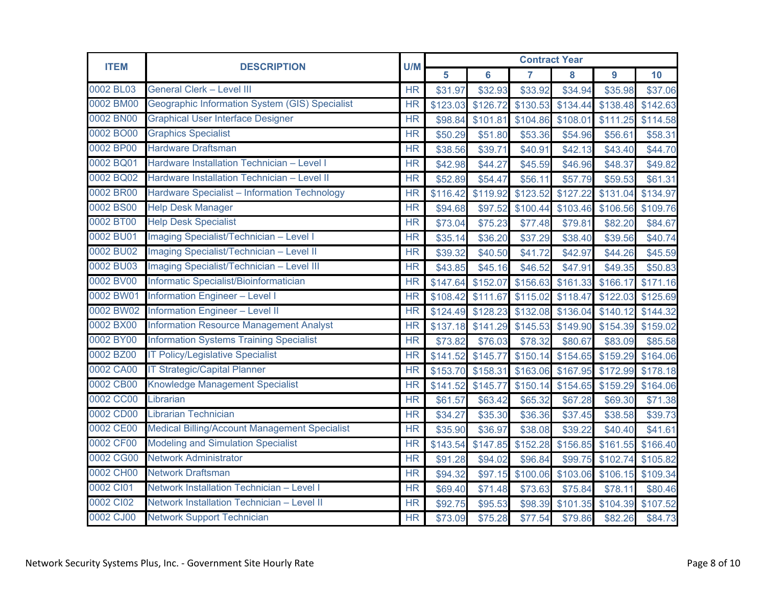| <b>ITEM</b> | <b>DESCRIPTION</b>                                   |                        | <b>Contract Year</b><br>U/M |                   |                |          |          |          |  |
|-------------|------------------------------------------------------|------------------------|-----------------------------|-------------------|----------------|----------|----------|----------|--|
|             |                                                      |                        | 5                           | $6\phantom{1}6$   | $\overline{7}$ | 8        | 9        | 10       |  |
| 0002 BL03   | <b>General Clerk - Level III</b>                     | <b>HR</b>              | \$31.97                     | \$32.93           | \$33.92        | \$34.94  | \$35.98  | \$37.06  |  |
| 0002 BM00   | Geographic Information System (GIS) Specialist       | <b>HR</b>              | \$123.03                    | \$126.72          | \$130.53       | \$134.44 | \$138.48 | \$142.63 |  |
| 0002 BN00   | <b>Graphical User Interface Designer</b>             | <b>HR</b>              | \$98.84                     | \$101.81          | \$104.86       | \$108.01 | \$111.25 | \$114.58 |  |
| 0002 BO00   | <b>Graphics Specialist</b>                           | <b>HR</b>              | \$50.29                     | \$51.80           | \$53.36        | \$54.96  | \$56.61  | \$58.31  |  |
| 0002 BP00   | <b>Hardware Draftsman</b>                            | <b>HR</b>              | \$38.56                     | \$39.71           | \$40.91        | \$42.13  | \$43.40  | \$44.70  |  |
| 0002 BQ01   | Hardware Installation Technician - Level I           | <b>HR</b>              | \$42.98                     | \$44.27           | \$45.59        | \$46.96  | \$48.37  | \$49.82  |  |
| 0002 BQ02   | Hardware Installation Technician - Level II          | <b>HR</b>              | \$52.89                     | \$54.47           | \$56.11        | \$57.79  | \$59.53  | \$61.31  |  |
| 0002 BR00   | <b>Hardware Specialist - Information Technology</b>  | <b>HR</b>              | \$116.42                    | \$119.92          | \$123.52       | \$127.22 | \$131.04 | \$134.97 |  |
| 0002 BS00   | <b>Help Desk Manager</b>                             | <b>HR</b>              | \$94.68                     | \$97.52           | \$100.44       | \$103.46 | \$106.56 | \$109.76 |  |
| 0002 BT00   | <b>Help Desk Specialist</b>                          | <b>HR</b>              | \$73.04                     | \$75.23           | \$77.48        | \$79.81  | \$82.20  | \$84.67  |  |
| 0002 BU01   | Imaging Specialist/Technician - Level I              | <b>HR</b>              | \$35.14                     | \$36.20           | \$37.29        | \$38.40  | \$39.56  | \$40.74  |  |
| 0002 BU02   | Imaging Specialist/Technician - Level II             | <b>HR</b>              | \$39.32                     | \$40.50           | \$41.72        | \$42.97  | \$44.26  | \$45.59  |  |
| 0002 BU03   | Imaging Specialist/Technician - Level III            | <b>HR</b>              | \$43.85                     | \$45.16           | \$46.52        | \$47.91  | \$49.35  | \$50.83  |  |
| 0002 BV00   | Informatic Specialist/Bioinformatician               | <b>HR</b>              | \$147.64                    | \$152.07          | \$156.63       | \$161.33 | \$166.17 | \$171.16 |  |
| 0002 BW01   | <b>Information Engineer - Level I</b>                | <b>HR</b>              | \$108.42                    | \$111.67          | \$115.02       | \$118.47 | \$122.03 | \$125.69 |  |
| 0002 BW02   | <b>Information Engineer - Level II</b>               | $\overline{\text{HR}}$ |                             | \$124.49 \$128.23 | \$132.08       | \$136.04 | \$140.12 | \$144.32 |  |
| 0002 BX00   | <b>Information Resource Management Analyst</b>       | <b>HR</b>              | \$137.18                    | \$141.29          | \$145.53       | \$149.90 | \$154.39 | \$159.02 |  |
| 0002 BY00   | <b>Information Systems Training Specialist</b>       | <b>HR</b>              | \$73.82                     | \$76.03           | \$78.32        | \$80.67  | \$83.09  | \$85.58  |  |
| 0002 BZ00   | <b>IT Policy/Legislative Specialist</b>              | <b>HR</b>              | \$141.52                    | \$145.77          | \$150.14       | \$154.65 | \$159.29 | \$164.06 |  |
| 0002 CA00   | <b>IT Strategic/Capital Planner</b>                  | <b>HR</b>              | \$153.70                    | \$158.31          | \$163.06       | \$167.95 | \$172.99 | \$178.18 |  |
| 0002 CB00   | <b>Knowledge Management Specialist</b>               | <b>HR</b>              | \$141.52                    | \$145.77          | \$150.14       | \$154.65 | \$159.29 | \$164.06 |  |
| 0002 CC00   | Librarian                                            | HR                     | \$61.57                     | \$63.42           | \$65.32        | \$67.28  | \$69.30  | \$71.38  |  |
| 0002 CD00   | <b>Librarian Technician</b>                          | <b>HR</b>              | \$34.27                     | \$35.30           | \$36.36        | \$37.45  | \$38.58  | \$39.73  |  |
| 0002 CE00   | <b>Medical Billing/Account Management Specialist</b> | <b>HR</b>              | \$35.90                     | \$36.97           | \$38.08        | \$39.22  | \$40.40  | \$41.61  |  |
| 0002 CF00   | <b>Modeling and Simulation Specialist</b>            | <b>HR</b>              | \$143.54                    | \$147.85          | \$152.28       | \$156.85 | \$161.55 | \$166.40 |  |
| 0002 CG00   | <b>Network Administrator</b>                         | <b>HR</b>              | \$91.28                     | \$94.02           | \$96.84        | \$99.75  | \$102.74 | \$105.82 |  |
| 0002 CH00   | <b>Network Draftsman</b>                             | <b>HR</b>              | \$94.32                     | \$97.15           | \$100.06       | \$103.06 | \$106.15 | \$109.34 |  |
| 0002 CI01   | Network Installation Technician - Level I            | <b>HR</b>              | \$69.40                     | \$71.48           | \$73.63        | \$75.84  | \$78.11  | \$80.46  |  |
| 0002 Cl02   | Network Installation Technician - Level II           | <b>HR</b>              | \$92.75                     | \$95.53           | \$98.39        | \$101.35 | \$104.39 | \$107.52 |  |
| 0002 CJ00   | <b>Network Support Technician</b>                    | <b>HR</b>              | \$73.09                     | \$75.28           | \$77.54        | \$79.86  | \$82.26  | \$84.73  |  |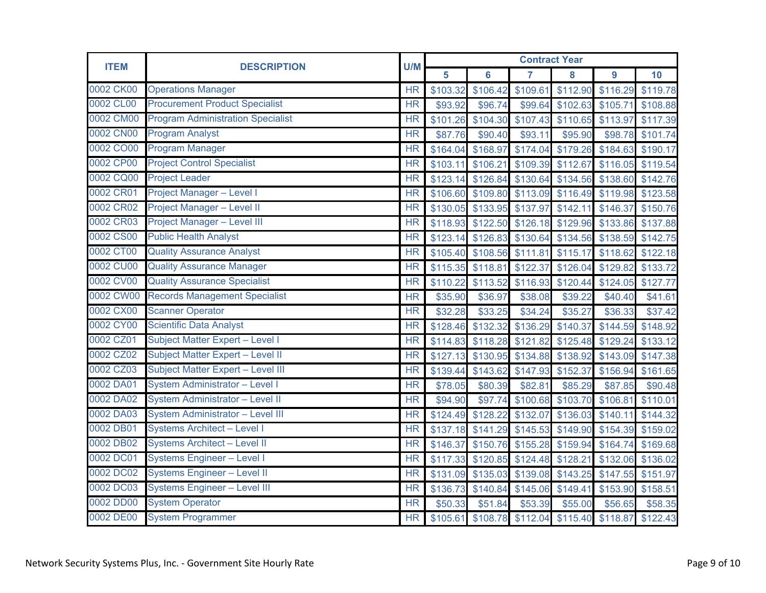| <b>ITEM</b> | <b>DESCRIPTION</b>                       | U/M                    | <b>Contract Year</b> |                   |          |                   |          |          |  |
|-------------|------------------------------------------|------------------------|----------------------|-------------------|----------|-------------------|----------|----------|--|
|             |                                          |                        | 5                    | $6\phantom{a}$    | 7        | 8                 | 9        | 10       |  |
| 0002 CK00   | <b>Operations Manager</b>                | <b>HR</b>              | \$103.32             | \$106.42          | \$109.61 | \$112.90          | \$116.29 | \$119.78 |  |
| 0002 CL00   | <b>Procurement Product Specialist</b>    | $\overline{\text{HR}}$ | \$93.92              | \$96.74           | \$99.64  | \$102.63          | \$105.71 | \$108.88 |  |
| 0002 CM00   | <b>Program Administration Specialist</b> | <b>HR</b>              | \$101.26             | \$104.30          | \$107.43 | \$110.65          | \$113.97 | \$117.39 |  |
| 0002 CN00   | <b>Program Analyst</b>                   | <b>HR</b>              | \$87.76              | \$90.40           | \$93.11  | \$95.90           | \$98.78  | \$101.74 |  |
| 0002 CO00   | <b>Program Manager</b>                   | <b>HR</b>              | \$164.04             | \$168.97          | \$174.04 | \$179.26          | \$184.63 | \$190.17 |  |
| 0002 CP00   | <b>Project Control Specialist</b>        | <b>HR</b>              | \$103.11             | \$106.21          | \$109.39 | \$112.67          | \$116.05 | \$119.54 |  |
| 0002 CQ00   | <b>Project Leader</b>                    | <b>HR</b>              | \$123.14             | \$126.84          | \$130.64 | \$134.56          | \$138.60 | \$142.76 |  |
| 0002 CR01   | <b>Project Manager - Level I</b>         | $\overline{\text{HR}}$ | \$106.60             | \$109.80          | \$113.09 | \$116.49          | \$119.98 | \$123.58 |  |
| 0002 CR02   | Project Manager - Level II               | <b>HR</b>              | \$130.05             | \$133.95          | \$137.97 | \$142.11          | \$146.37 | \$150.76 |  |
| 0002 CR03   | Project Manager - Level III              | <b>HR</b>              |                      | \$118.93 \$122.50 | \$126.18 | \$129.96          | \$133.86 | \$137.88 |  |
| 0002 CS00   | <b>Public Health Analyst</b>             | $\overline{\text{HR}}$ | \$123.14             | \$126.83          | \$130.64 | \$134.56          | \$138.59 | \$142.75 |  |
| 0002 CT00   | <b>Quality Assurance Analyst</b>         | <b>HR</b>              | \$105.40             | \$108.56          | \$111.81 | \$115.17          | \$118.62 | \$122.18 |  |
| 0002 CU00   | <b>Quality Assurance Manager</b>         | <b>HR</b>              |                      | \$115.35 \$118.81 | \$122.37 | \$126.04          | \$129.82 | \$133.72 |  |
| 0002 CV00   | <b>Quality Assurance Specialist</b>      | <b>HR</b>              | \$110.22             | \$113.52          | \$116.93 | \$120.44          | \$124.05 | \$127.77 |  |
| 0002 CW00   | <b>Records Management Specialist</b>     | <b>HR</b>              | \$35.90              | \$36.97           | \$38.08  | \$39.22           | \$40.40  | \$41.61  |  |
| 0002 CX00   | <b>Scanner Operator</b>                  | <b>HR</b>              | \$32.28              | \$33.25           | \$34.24  | \$35.27           | \$36.33  | \$37.42  |  |
| 0002 CY00   | <b>Scientific Data Analyst</b>           | <b>HR</b>              | \$128.46             | \$132.32          | \$136.29 | \$140.37          | \$144.59 | \$148.92 |  |
| 0002 CZ01   | Subject Matter Expert - Level I          | <b>HR</b>              | \$114.83             | \$118.28          | \$121.82 | \$125.48          | \$129.24 | \$133.12 |  |
| 0002 CZ02   | Subject Matter Expert - Level II         | <b>HR</b>              | \$127.13             | \$130.95          | \$134.88 | \$138.92          | \$143.09 | \$147.38 |  |
| 0002 CZ03   | Subject Matter Expert - Level III        | <b>HR</b>              | \$139.44             | \$143.62          | \$147.93 | \$152.37          | \$156.94 | \$161.65 |  |
| 0002 DA01   | System Administrator - Level I           | <b>HR</b>              | \$78.05              | \$80.39           | \$82.81  | \$85.29           | \$87.85  | \$90.48  |  |
| 0002 DA02   | <b>System Administrator - Level II</b>   | <b>HR</b>              | \$94.90              | \$97.74           | \$100.68 | \$103.70          | \$106.81 | \$110.01 |  |
| 0002 DA03   | <b>System Administrator - Level III</b>  | <b>HR</b>              | \$124.49             | \$128.22          | \$132.07 | \$136.03          | \$140.11 | \$144.32 |  |
| 0002 DB01   | <b>Systems Architect - Level I</b>       | <b>HR</b>              | \$137.18             | \$141.29          | \$145.53 | \$149.90          | \$154.39 | \$159.02 |  |
| 0002 DB02   | <b>Systems Architect - Level II</b>      | <b>HR</b>              | \$146.37             | \$150.76          | \$155.28 | \$159.94          | \$164.74 | \$169.68 |  |
| 0002 DC01   | <b>Systems Engineer - Level I</b>        | <b>HR</b>              | \$117.33             | \$120.85          | \$124.48 | \$128.21          | \$132.06 | \$136.02 |  |
| 0002 DC02   | <b>Systems Engineer - Level II</b>       | <b>HR</b>              | \$131.09             | \$135.03          | \$139.08 | \$143.25          | \$147.55 | \$151.97 |  |
| 0002 DC03   | <b>Systems Engineer - Level III</b>      | <b>HR</b>              |                      | \$136.73 \$140.84 |          | \$145.06 \$149.41 | \$153.90 | \$158.51 |  |
| 0002 DD00   | <b>System Operator</b>                   | <b>HR</b>              | \$50.33              | \$51.84           | \$53.39  | \$55.00           | \$56.65  | \$58.35  |  |
| 0002 DE00   | <b>System Programmer</b>                 | <b>HR</b>              | \$105.61             | \$108.78          | \$112.04 | \$115.40          | \$118.87 | \$122.43 |  |